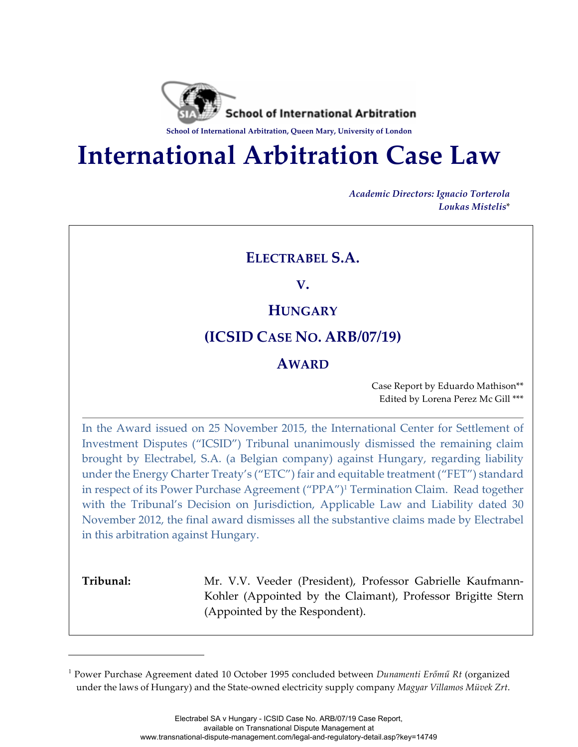

**School of International Arbitration, Queen Mary, University of London**

# **International Arbitration Case Law**

*Academic Directors: Ignacio Torterola Loukas Mistelis*\*

# **ELECTRABEL S.A.**

**V.** 

# **HUNGARY**

# **(ICSID CASE NO. ARB/07/19)**

## **AWARD**

Case Report by Eduardo Mathison\*\* Edited by Lorena Perez Mc Gill \*\*\*

In the Award issued on 25 November 2015, the International Center for Settlement of Investment Disputes ("ICSID") Tribunal unanimously dismissed the remaining claim brought by Electrabel, S.A. (a Belgian company) against Hungary, regarding liability under the Energy Charter Treaty's ("ETC") fair and equitable treatment ("FET") standard in respect of its Power Purchase Agreement ("PPA")1 Termination Claim. Read together with the Tribunal's Decision on Jurisdiction, Applicable Law and Liability dated 30 November 2012, the final award dismisses all the substantive claims made by Electrabel in this arbitration against Hungary.

i<br>Li

**Tribunal:** Mr. V.V. Veeder (President), Professor Gabrielle Kaufmann-Kohler (Appointed by the Claimant), Professor Brigitte Stern (Appointed by the Respondent).

<sup>1</sup> Power Purchase Agreement dated 10 October 1995 concluded between *Dunamenti Erőmű Rt* (organized under the laws of Hungary) and the State-owned electricity supply company *Magyar Villamos Müvek Zrt*.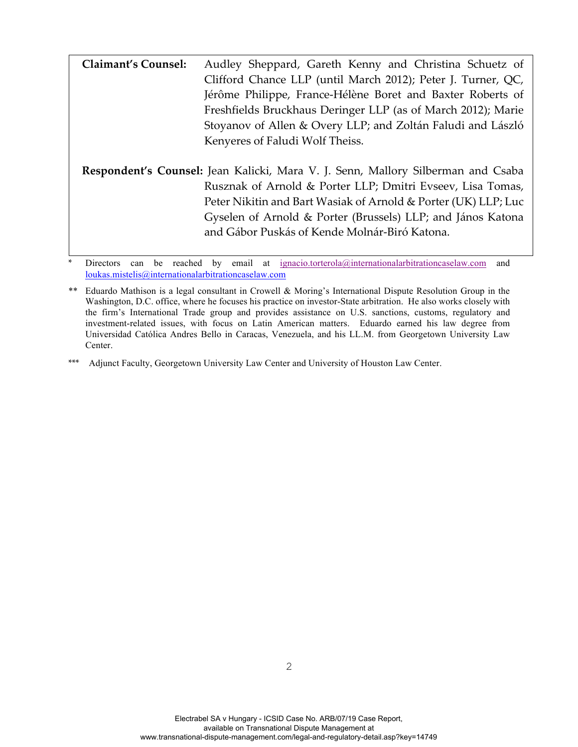| <b>Claimant's Counsel:</b> | Audley Sheppard, Gareth Kenny and Christina Schuetz of                           |
|----------------------------|----------------------------------------------------------------------------------|
|                            | Clifford Chance LLP (until March 2012); Peter J. Turner, QC,                     |
|                            | Jérôme Philippe, France-Hélène Boret and Baxter Roberts of                       |
|                            | Freshfields Bruckhaus Deringer LLP (as of March 2012); Marie                     |
|                            | Stoyanov of Allen & Overy LLP; and Zoltán Faludi and László                      |
|                            | Kenyeres of Faludi Wolf Theiss.                                                  |
|                            |                                                                                  |
|                            | Respondent's Counsel: Jean Kalicki, Mara V. J. Senn, Mallory Silberman and Csaba |
|                            | Rusznak of Arnold & Porter LLP; Dmitri Evseev, Lisa Tomas,                       |
|                            | Peter Nikitin and Bart Wasiak of Arnold & Porter (UK) LLP; Luc                   |
|                            | Gyselen of Arnold & Porter (Brussels) LLP; and János Katona                      |
|                            | and Gábor Puskás of Kende Molnár-Biró Katona.                                    |
|                            |                                                                                  |

Directors can be reached by email at ignacio.torterola@internationalarbitrationcaselaw.com and loukas.mistelis@internationalarbitrationcaselaw.com

\*\*\* Adjunct Faculty, Georgetown University Law Center and University of Houston Law Center.

<sup>\*\*</sup> Eduardo Mathison is a legal consultant in Crowell & Moring's International Dispute Resolution Group in the Washington, D.C. office, where he focuses his practice on investor-State arbitration. He also works closely with the firm's International Trade group and provides assistance on U.S. sanctions, customs, regulatory and investment-related issues, with focus on Latin American matters. Eduardo earned his law degree from Universidad Católica Andres Bello in Caracas, Venezuela, and his LL.M. from Georgetown University Law Center.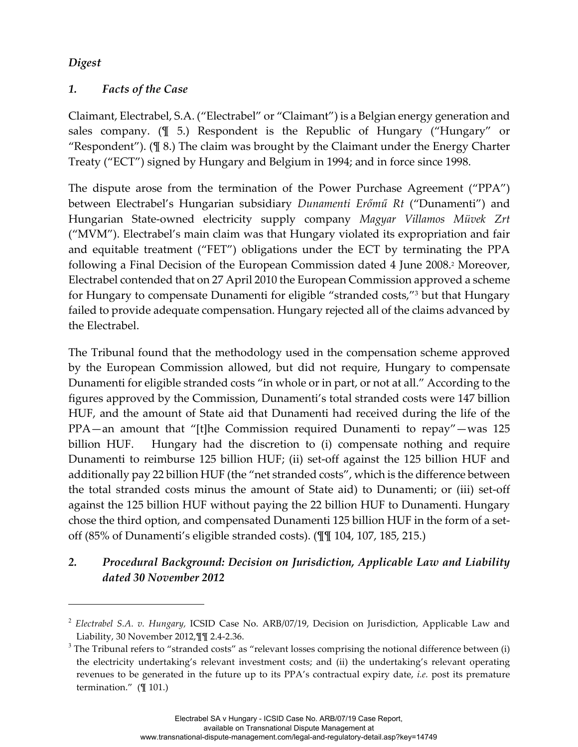### *Digest*

i<br>Li

## *1. Facts of the Case*

Claimant, Electrabel, S.A. ("Electrabel" or "Claimant") is a Belgian energy generation and sales company. (¶ 5.) Respondent is the Republic of Hungary ("Hungary" or "Respondent"). (¶ 8.) The claim was brought by the Claimant under the Energy Charter Treaty ("ECT") signed by Hungary and Belgium in 1994; and in force since 1998.

The dispute arose from the termination of the Power Purchase Agreement ("PPA") between Electrabel's Hungarian subsidiary *Dunamenti Erőmű Rt* ("Dunamenti") and Hungarian State-owned electricity supply company *Magyar Villamos Müvek Zrt* ("MVM"). Electrabel's main claim was that Hungary violated its expropriation and fair and equitable treatment ("FET") obligations under the ECT by terminating the PPA following a Final Decision of the European Commission dated 4 June 2008.2 Moreover, Electrabel contended that on 27 April 2010 the European Commission approved a scheme for Hungary to compensate Dunamenti for eligible "stranded costs,"3 but that Hungary failed to provide adequate compensation. Hungary rejected all of the claims advanced by the Electrabel.

The Tribunal found that the methodology used in the compensation scheme approved by the European Commission allowed, but did not require, Hungary to compensate Dunamenti for eligible stranded costs "in whole or in part, or not at all." According to the figures approved by the Commission, Dunamenti's total stranded costs were 147 billion HUF, and the amount of State aid that Dunamenti had received during the life of the PPA—an amount that "[t]he Commission required Dunamenti to repay"—was 125 billion HUF. Hungary had the discretion to (i) compensate nothing and require Dunamenti to reimburse 125 billion HUF; (ii) set-off against the 125 billion HUF and additionally pay 22 billion HUF (the "net stranded costs", which is the difference between the total stranded costs minus the amount of State aid) to Dunamenti; or (iii) set-off against the 125 billion HUF without paying the 22 billion HUF to Dunamenti. Hungary chose the third option, and compensated Dunamenti 125 billion HUF in the form of a setoff (85% of Dunamenti's eligible stranded costs). (¶¶ 104, 107, 185, 215.)

# *2. Procedural Background: Decision on Jurisdiction, Applicable Law and Liability dated 30 November 2012*

<sup>2</sup> *Electrabel S.A. v. Hungary,* ICSID Case No. ARB/07/19, Decision on Jurisdiction, Applicable Law and Liability, 30 November 2012,¶¶ 2.4-2.36.

 $3$  The Tribunal refers to "stranded costs" as "relevant losses comprising the notional difference between (i) the electricity undertaking's relevant investment costs; and (ii) the undertaking's relevant operating revenues to be generated in the future up to its PPA's contractual expiry date, *i.e.* post its premature termination." (¶ 101.)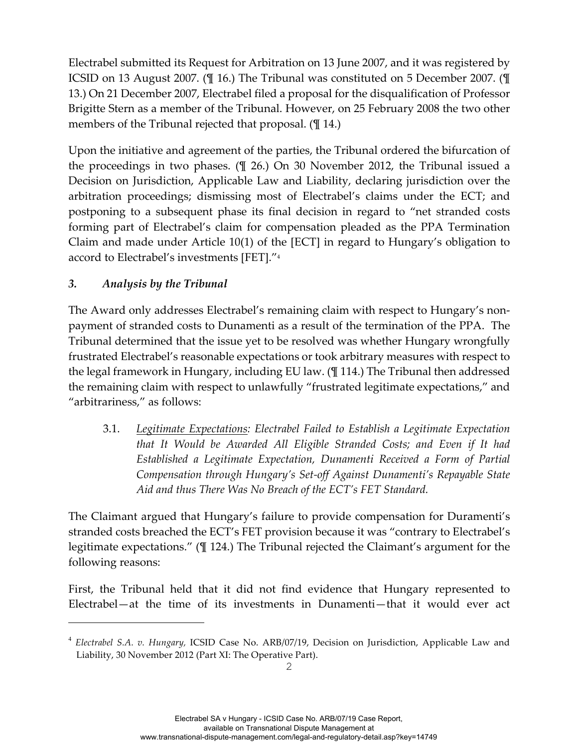Electrabel submitted its Request for Arbitration on 13 June 2007, and it was registered by ICSID on 13 August 2007. (¶ 16.) The Tribunal was constituted on 5 December 2007. (¶ 13.) On 21 December 2007, Electrabel filed a proposal for the disqualification of Professor Brigitte Stern as a member of the Tribunal. However, on 25 February 2008 the two other members of the Tribunal rejected that proposal. ( $\llbracket$  14.)

Upon the initiative and agreement of the parties, the Tribunal ordered the bifurcation of the proceedings in two phases. (¶ 26.) On 30 November 2012, the Tribunal issued a Decision on Jurisdiction, Applicable Law and Liability, declaring jurisdiction over the arbitration proceedings; dismissing most of Electrabel's claims under the ECT; and postponing to a subsequent phase its final decision in regard to "net stranded costs forming part of Electrabel's claim for compensation pleaded as the PPA Termination Claim and made under Article 10(1) of the [ECT] in regard to Hungary's obligation to accord to Electrabel's investments [FET]."4

## *3. Analysis by the Tribunal*

i<br>Li

The Award only addresses Electrabel's remaining claim with respect to Hungary's nonpayment of stranded costs to Dunamenti as a result of the termination of the PPA. The Tribunal determined that the issue yet to be resolved was whether Hungary wrongfully frustrated Electrabel's reasonable expectations or took arbitrary measures with respect to the legal framework in Hungary, including EU law. (¶ 114.) The Tribunal then addressed the remaining claim with respect to unlawfully "frustrated legitimate expectations," and "arbitrariness," as follows:

3.1. *Legitimate Expectations: Electrabel Failed to Establish a Legitimate Expectation that It Would be Awarded All Eligible Stranded Costs; and Even if It had Established a Legitimate Expectation, Dunamenti Received a Form of Partial Compensation through Hungary's Set-off Against Dunamenti's Repayable State Aid and thus There Was No Breach of the ECT's FET Standard.*

The Claimant argued that Hungary's failure to provide compensation for Duramenti's stranded costs breached the ECT's FET provision because it was "contrary to Electrabel's legitimate expectations." (¶ 124.) The Tribunal rejected the Claimant's argument for the following reasons:

First, the Tribunal held that it did not find evidence that Hungary represented to Electrabel—at the time of its investments in Dunamenti—that it would ever act

<sup>4</sup> *Electrabel S.A. v. Hungary,* ICSID Case No. ARB/07/19, Decision on Jurisdiction, Applicable Law and Liability, 30 November 2012 (Part XI: The Operative Part).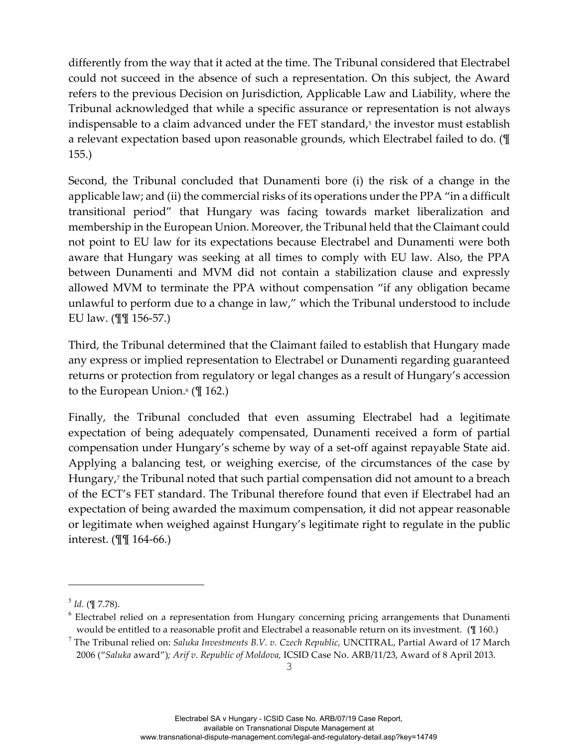differently from the way that it acted at the time. The Tribunal considered that Electrabel could not succeed in the absence of such a representation. On this subject, the Award refers to the previous Decision on Jurisdiction, Applicable Law and Liability, where the Tribunal acknowledged that while a specific assurance or representation is not always indispensable to a claim advanced under the FET standard,<sup>5</sup> the investor must establish a relevant expectation based upon reasonable grounds, which Electrabel failed to do. (¶ 155.)

Second, the Tribunal concluded that Dunamenti bore (i) the risk of a change in the applicable law; and (ii) the commercial risks of its operations under the PPA "in a difficult transitional period" that Hungary was facing towards market liberalization and membership in the European Union. Moreover, the Tribunal held that the Claimant could not point to EU law for its expectations because Electrabel and Dunamenti were both aware that Hungary was seeking at all times to comply with EU law. Also, the PPA between Dunamenti and MVM did not contain a stabilization clause and expressly allowed MVM to terminate the PPA without compensation "if any obligation became unlawful to perform due to a change in law," which the Tribunal understood to include EU law. (¶¶ 156-57.)

Third, the Tribunal determined that the Claimant failed to establish that Hungary made any express or implied representation to Electrabel or Dunamenti regarding guaranteed returns or protection from regulatory or legal changes as a result of Hungary's accession to the European Union. $($  \[ 162.)

Finally, the Tribunal concluded that even assuming Electrabel had a legitimate expectation of being adequately compensated, Dunamenti received a form of partial compensation under Hungary's scheme by way of a set-off against repayable State aid. Applying a balancing test, or weighing exercise, of the circumstances of the case by Hungary,7 the Tribunal noted that such partial compensation did not amount to a breach of the ECT's FET standard. The Tribunal therefore found that even if Electrabel had an expectation of being awarded the maximum compensation, it did not appear reasonable or legitimate when weighed against Hungary's legitimate right to regulate in the public interest. (¶¶ 164-66.)

i<br>Li

 $<sup>5</sup>$  *Id.* (¶ 7.78).</sup>

<sup>&</sup>lt;sup>6</sup> Electrabel relied on a representation from Hungary concerning pricing arrangements that Dunamenti would be entitled to a reasonable profit and Electrabel a reasonable return on its investment. (¶ 160.)

<sup>7</sup> The Tribunal relied on: *Saluka Investments B.V. v. Czech Republic,* UNCITRAL, Partial Award of 17 March 2006 ("*Saluka* award")*; Arif v. Republic of Moldova,* ICSID Case No. ARB/11/23, Award of 8 April 2013.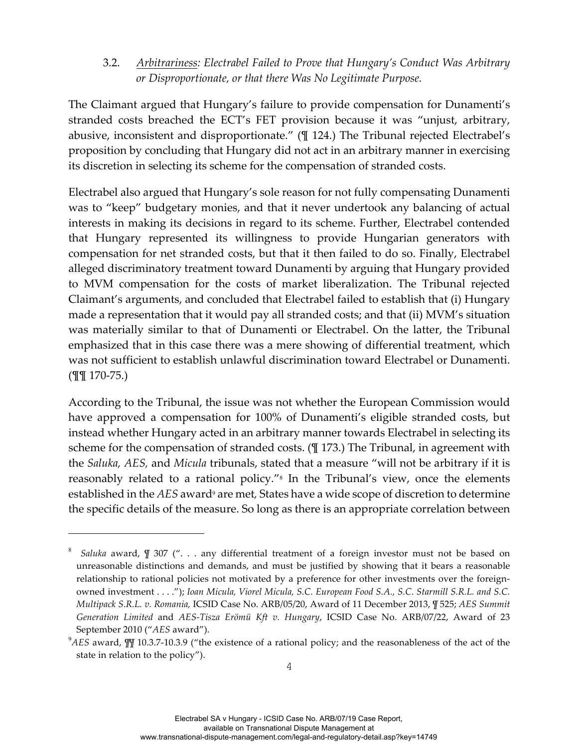#### 3.2. *Arbitrariness: Electrabel Failed to Prove that Hungary's Conduct Was Arbitrary or Disproportionate, or that there Was No Legitimate Purpose.*

The Claimant argued that Hungary's failure to provide compensation for Dunamenti's stranded costs breached the ECT's FET provision because it was "unjust, arbitrary, abusive, inconsistent and disproportionate." (¶ 124.) The Tribunal rejected Electrabel's proposition by concluding that Hungary did not act in an arbitrary manner in exercising its discretion in selecting its scheme for the compensation of stranded costs.

Electrabel also argued that Hungary's sole reason for not fully compensating Dunamenti was to "keep" budgetary monies, and that it never undertook any balancing of actual interests in making its decisions in regard to its scheme. Further, Electrabel contended that Hungary represented its willingness to provide Hungarian generators with compensation for net stranded costs, but that it then failed to do so. Finally, Electrabel alleged discriminatory treatment toward Dunamenti by arguing that Hungary provided to MVM compensation for the costs of market liberalization. The Tribunal rejected Claimant's arguments, and concluded that Electrabel failed to establish that (i) Hungary made a representation that it would pay all stranded costs; and that (ii) MVM's situation was materially similar to that of Dunamenti or Electrabel. On the latter, the Tribunal emphasized that in this case there was a mere showing of differential treatment, which was not sufficient to establish unlawful discrimination toward Electrabel or Dunamenti. (¶¶ 170-75.)

According to the Tribunal, the issue was not whether the European Commission would have approved a compensation for 100% of Dunamenti's eligible stranded costs, but instead whether Hungary acted in an arbitrary manner towards Electrabel in selecting its scheme for the compensation of stranded costs. (¶ 173.) The Tribunal, in agreement with the *Saluka, AES,* and *Micula* tribunals, stated that a measure "will not be arbitrary if it is reasonably related to a rational policy."8 In the Tribunal's view, once the elements established in the *AES* award<sup>9</sup> are met, States have a wide scope of discretion to determine the specific details of the measure. So long as there is an appropriate correlation between

i<br>Li

<sup>8</sup> *Saluka* award, *¶* 307 ("... any differential treatment of a foreign investor must not be based on unreasonable distinctions and demands, and must be justified by showing that it bears a reasonable relationship to rational policies not motivated by a preference for other investments over the foreignowned investment . . . ."); *Ioan Micula, Viorel Micula, S.C. European Food S.A., S.C. Starmill S.R.L. and S.C. Multipack S.R.L. v. Romania,* ICSID Case No. ARB/05/20, Award of 11 December 2013, *¶* 525; *AES Summit Generation Limited* and *AES-Tisza Erömü Kft v. Hungary*, ICSID Case No. ARB/07/22, Award of 23 September 2010 ("*AES* award").

<sup>9</sup> *AES* award, *¶¶* 10.3.7-10.3.9 ("the existence of a rational policy; and the reasonableness of the act of the state in relation to the policy").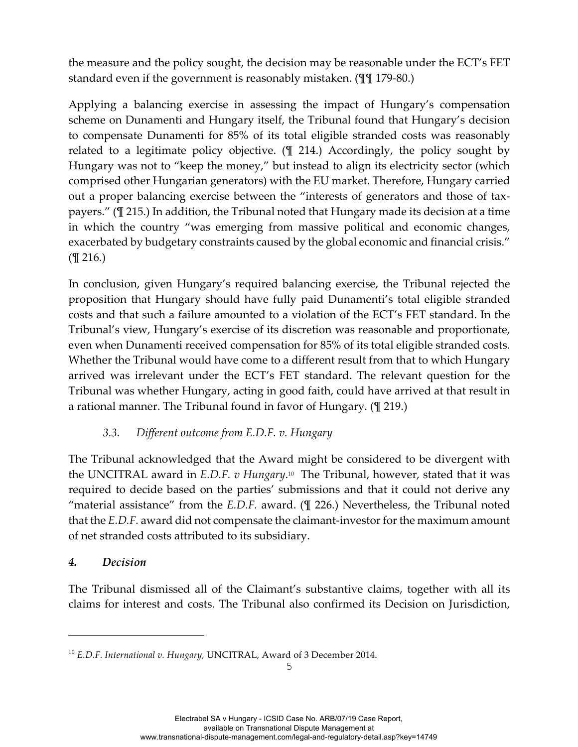the measure and the policy sought, the decision may be reasonable under the ECT's FET standard even if the government is reasonably mistaken. (¶¶ 179-80.)

Applying a balancing exercise in assessing the impact of Hungary's compensation scheme on Dunamenti and Hungary itself, the Tribunal found that Hungary's decision to compensate Dunamenti for 85% of its total eligible stranded costs was reasonably related to a legitimate policy objective. (¶ 214.) Accordingly, the policy sought by Hungary was not to "keep the money," but instead to align its electricity sector (which comprised other Hungarian generators) with the EU market. Therefore, Hungary carried out a proper balancing exercise between the "interests of generators and those of taxpayers." (¶ 215.) In addition, the Tribunal noted that Hungary made its decision at a time in which the country "was emerging from massive political and economic changes, exacerbated by budgetary constraints caused by the global economic and financial crisis." (¶ 216.)

In conclusion, given Hungary's required balancing exercise, the Tribunal rejected the proposition that Hungary should have fully paid Dunamenti's total eligible stranded costs and that such a failure amounted to a violation of the ECT's FET standard. In the Tribunal's view, Hungary's exercise of its discretion was reasonable and proportionate, even when Dunamenti received compensation for 85% of its total eligible stranded costs. Whether the Tribunal would have come to a different result from that to which Hungary arrived was irrelevant under the ECT's FET standard. The relevant question for the Tribunal was whether Hungary, acting in good faith, could have arrived at that result in a rational manner. The Tribunal found in favor of Hungary. (¶ 219.)

#### *3.3. Different outcome from E.D.F. v. Hungary*

The Tribunal acknowledged that the Award might be considered to be divergent with the UNCITRAL award in *E.D.F. v Hungary*.10The Tribunal, however, stated that it was required to decide based on the parties' submissions and that it could not derive any "material assistance" from the *E.D.F.* award. (¶ 226.) Nevertheless, the Tribunal noted that the *E.D.F.* award did not compensate the claimant-investor for the maximum amount of net stranded costs attributed to its subsidiary.

#### *4. Decision*

i<br>Li

The Tribunal dismissed all of the Claimant's substantive claims, together with all its claims for interest and costs. The Tribunal also confirmed its Decision on Jurisdiction,

<sup>10</sup> *E.D.F. International v. Hungary,* UNCITRAL, Award of 3 December 2014.